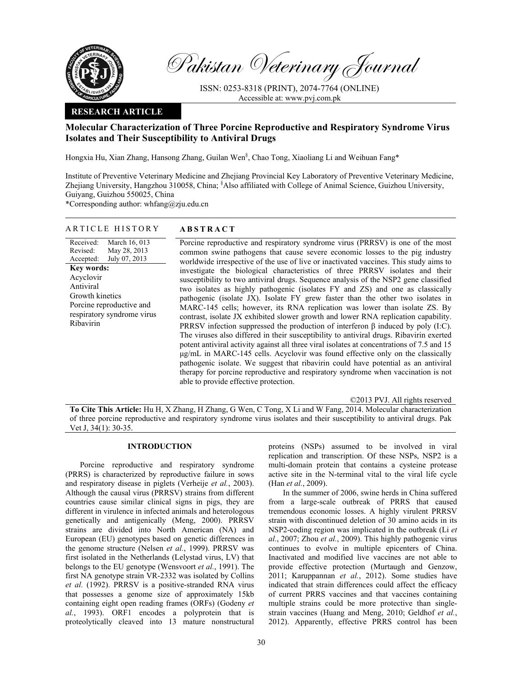

Pakistan Veterinary Journal

ISSN: 0253-8318 (PRINT), 2074-7764 (ONLINE) Accessible at: www.pvj.com.pk

### **RESEARCH ARTICLE**

# **Molecular Characterization of Three Porcine Reproductive and Respiratory Syndrome Virus Isolates and Their Susceptibility to Antiviral Drugs**

Hongxia Hu, Xian Zhang, Hansong Zhang, Guilan Wen§ , Chao Tong, Xiaoliang Li and Weihuan Fang\*

Institute of Preventive Veterinary Medicine and Zhejiang Provincial Key Laboratory of Preventive Veterinary Medicine, Zhejiang University, Hangzhou 310058, China; <sup>§</sup>Also affiliated with College of Animal Science, Guizhou University, Guiyang, Guizhou 550025, China

\*Corresponding author: whfang@zju.edu.cn

### ARTICLE HISTORY **ABSTRACT**

Received: Revised: Accepted: March 16, 013 May 28, 2013 July 07, 2013 **Key words:**  Acyclovir Antiviral Growth kinetics Porcine reproductive and respiratory syndrome virus Ribavirin

 Porcine reproductive and respiratory syndrome virus (PRRSV) is one of the most common swine pathogens that cause severe economic losses to the pig industry worldwide irrespective of the use of live or inactivated vaccines. This study aims to investigate the biological characteristics of three PRRSV isolates and their susceptibility to two antiviral drugs. Sequence analysis of the NSP2 gene classified two isolates as highly pathogenic (isolates FY and ZS) and one as classically pathogenic (isolate JX). Isolate FY grew faster than the other two isolates in MARC-145 cells; however, its RNA replication was lower than isolate ZS. By contrast, isolate JX exhibited slower growth and lower RNA replication capability. PRRSV infection suppressed the production of interferon  $\beta$  induced by poly (I:C). The viruses also differed in their susceptibility to antiviral drugs. Ribavirin exerted potent antiviral activity against all three viral isolates at concentrations of 7.5 and 15 µg/mL in MARC-145 cells. Acyclovir was found effective only on the classically pathogenic isolate. We suggest that ribavirin could have potential as an antiviral therapy for porcine reproductive and respiratory syndrome when vaccination is not able to provide effective protection.

©2013 PVJ. All rights reserved

**To Cite This Article:** Hu H, X Zhang, H Zhang, G Wen, C Tong, X Li and W Fang, 2014. Molecular characterization of three porcine reproductive and respiratory syndrome virus isolates and their susceptibility to antiviral drugs. Pak Vet J, 34(1): 30-35.

### **INTRODUCTION**

Porcine reproductive and respiratory syndrome (PRRS) is characterized by reproductive failure in sows and respiratory disease in piglets (Verheije *et al.*, 2003). Although the causal virus (PRRSV) strains from different countries cause similar clinical signs in pigs, they are different in virulence in infected animals and heterologous genetically and antigenically (Meng, 2000). PRRSV strains are divided into North American (NA) and European (EU) genotypes based on genetic differences in the genome structure (Nelsen *et al.*, 1999). PRRSV was first isolated in the Netherlands (Lelystad virus, LV) that belongs to the EU genotype (Wensvoort *et al.*, 1991). The first NA genotype strain VR-2332 was isolated by Collins *et al.* (1992). PRRSV is a positive-stranded RNA virus that possesses a genome size of approximately 15kb containing eight open reading frames (ORFs) (Godeny *et al.*, 1993). ORF1 encodes a polyprotein that is proteolytically cleaved into 13 mature nonstructural

proteins (NSPs) assumed to be involved in viral replication and transcription. Of these NSPs, NSP2 is a multi-domain protein that contains a cysteine protease active site in the N-terminal vital to the viral life cycle (Han *et al.*, 2009).

In the summer of 2006, swine herds in China suffered from a large-scale outbreak of PRRS that caused tremendous economic losses. A highly virulent PRRSV strain with discontinued deletion of 30 amino acids in its NSP2-coding region was implicated in the outbreak (Li *et al.*, 2007; Zhou *et al.*, 2009). This highly pathogenic virus continues to evolve in multiple epicenters of China. Inactivated and modified live vaccines are not able to provide effective protection (Murtaugh and Genzow, 2011; Karuppannan *et al.*, 2012). Some studies have indicated that strain differences could affect the efficacy of current PRRS vaccines and that vaccines containing multiple strains could be more protective than singlestrain vaccines (Huang and Meng, 2010; Geldhof *et al.*, 2012). Apparently, effective PRRS control has been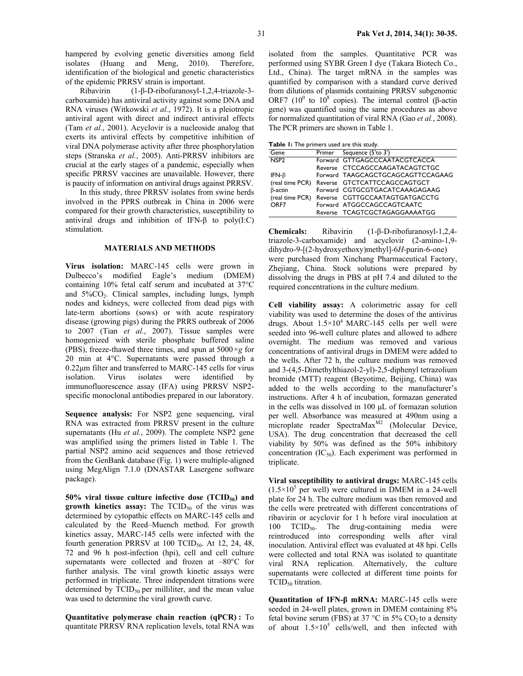Ribavirin (1-β-D-ribofuranosyl-1,2,4-triazole-3 carboxamide) has antiviral activity against some DNA and RNA viruses (Witkowski *et al.*, 1972). It is a pleiotropic antiviral agent with direct and indirect antiviral effects (Tam *et al.*, 2001). Acyclovir is a nucleoside analog that exerts its antiviral effects by competitive inhibition of viral DNA polymerase activity after three phosphorylation steps (Stranska *et al.*, 2005). Anti-PRRSV inhibitors are crucial at the early stages of a pandemic, especially when specific PRRSV vaccines are unavailable. However, there is paucity of information on antiviral drugs against PRRSV.

In this study, three PRRSV isolates from swine herds involved in the PPRS outbreak in China in 2006 were compared for their growth characteristics, susceptibility to antiviral drugs and inhibition of IFN- $β$  to poly(I:C) stimulation.

#### **MATERIALS AND METHODS**

**Virus isolation:** MARC-145 cells were grown in Dulbecco's modified Eagle's medium (DMEM) containing 10% fetal calf serum and incubated at 37°C and  $5\%CO_2$ . Clinical samples, including lungs, lymph nodes and kidneys, were collected from dead pigs with late-term abortions (sows) or with acute respiratory disease (growing pigs) during the PRRS outbreak of 2006 to 2007 (Tian *et al.*, 2007). Tissue samples were homogenized with sterile phosphate buffered saline (PBS), freeze-thawed three times, and spun at 5000*×g* for 20 min at 4°C. Supernatants were passed through a 0.22µm filter and transferred to MARC-145 cells for virus isolation. Virus isolates were identified by immunofluorescence assay (IFA) using PRRSV NSP2 specific monoclonal antibodies prepared in our laboratory.

**Sequence analysis:** For NSP2 gene sequencing, viral RNA was extracted from PRRSV present in the culture supernatants (Hu *et al.*, 2009). The complete NSP2 gene was amplified using the primers listed in Table 1. The partial NSP2 amino acid sequences and those retrieved from the GenBank database (Fig. 1) were multiple-aligned using MegAlign 7.1.0 (DNASTAR Lasergene software package).

50% viral tissue culture infective dose (TCID<sub>50</sub>) and **growth kinetics assay:** The TCID<sub>50</sub> of the virus was determined by cytopathic effects on MARC-145 cells and calculated by the Reed–Muench method. For growth kinetics assay, MARC-145 cells were infected with the fourth generation PRRSV at  $100$  TCID<sub>50</sub>. At 12, 24, 48, 72 and 96 h post-infection (hpi), cell and cell culture supernatants were collected and frozen at –80°C for further analysis. The viral growth kinetic assays were performed in triplicate. Three independent titrations were determined by  $TCID_{50}$  per milliliter, and the mean value was used to determine the viral growth curve.

**Quantitative polymerase chain reaction (qPCR) :** To quantitate PRRSV RNA replication levels, total RNA was isolated from the samples. Quantitative PCR was performed using SYBR Green I dye (Takara Biotech Co., Ltd., China). The target mRNA in the samples was quantified by comparison with a standard curve derived from dilutions of plasmids containing PRRSV subgenomic ORF7 (10<sup>0</sup> to 10<sup>8</sup> copies). The internal control (β-actin gene) was quantified using the same procedures as above for normalized quantitation of viral RNA (Gao *et al.*, 2008). The PCR primers are shown in Table 1.

**Table 1:** The primers used are this study.

| <b>Eable 1.</b> The primer's used are this study. |  |                                                |  |
|---------------------------------------------------|--|------------------------------------------------|--|
| Gene                                              |  | Primer Sequence (5'to 3')                      |  |
| NSP <sub>2</sub>                                  |  | Forward GTTGAGCCCAATACGTCACCA                  |  |
|                                                   |  | Reverse CTCCAGCCAAGATACAGTCTGC                 |  |
| IFN- $\beta$                                      |  | Forward TAAGCAGCTGCAGCAGTTCCAGAAG              |  |
|                                                   |  | (real time PCR) Reverse GTCTCATTCCAGCCAGTGCT   |  |
| $\beta$ -actin                                    |  | Forward CGTGCGTGACATCAAAGAGAAG                 |  |
|                                                   |  | (real time PCR) Reverse CGTTGCCAATAGTGATGACCTG |  |
| ORF7                                              |  | Forward ATGGCCAGCCAGTCAATC                     |  |
|                                                   |  | Reverse TCAGTCGCTAGAGGAAAATGG                  |  |

**Chemicals:** Ribavirin (1-β-D-ribofuranosyl-1,2,4 triazole-3-carboxamide) and acyclovir (2-amino-1,9 dihydro-9-[(2-hydroxyethoxy)methyl]-6*H*-purin-6-one) were purchased from Xinchang Pharmaceutical Factory, Zhejiang, China. Stock solutions were prepared by dissolving the drugs in PBS at pH 7.4 and diluted to the required concentrations in the culture medium.

**Cell viability assay:** A colorimetric assay for cell viability was used to determine the doses of the antivirus drugs. About  $1.5 \times 10^4$  MARC-145 cells per well were seeded into 96-well culture plates and allowed to adhere overnight. The medium was removed and various concentrations of antiviral drugs in DMEM were added to the wells. After 72 h, the culture medium was removed and 3-(4,5-Dimethylthiazol-2-yl)-2,5-diphenyl tetrazolium bromide (MTT) reagent (Beyotime, Beijing, China) was added to the wells according to the manufacturer's instructions. After 4 h of incubation, formazan generated in the cells was dissolved in 100 µL of formazan solution per well. Absorbance was measured at 490nm using a microplate reader Spectra $Max^{M2}$  (Molecular Device, USA). The drug concentration that decreased the cell viability by 50% was defined as the 50% inhibitory concentration  $(IC_{50})$ . Each experiment was performed in triplicate.

**Viral susceptibility to antiviral drugs:** MARC-145 cells  $(1.5 \times 10^5$  per well) were cultured in DMEM in a 24-well plate for 24 h. The culture medium was then removed and the cells were pretreated with different concentrations of ribavirin or acyclovir for 1 h before viral inoculation at 100  $TCID_{50}$ . The drug-containing media were reintroduced into corresponding wells after viral inoculation. Antiviral effect was evaluated at 48 hpi. Cells were collected and total RNA was isolated to quantitate viral RNA replication. Alternatively, the culture supernatants were collected at different time points for TCID<sub>50</sub> titration.

**Quantitation of IFN-β mRNA:** MARC-145 cells were seeded in 24-well plates, grown in DMEM containing 8% fetal bovine serum (FBS) at 37 °C in 5%  $CO<sub>2</sub>$  to a density of about  $1.5 \times 10^5$  cells/well, and then infected with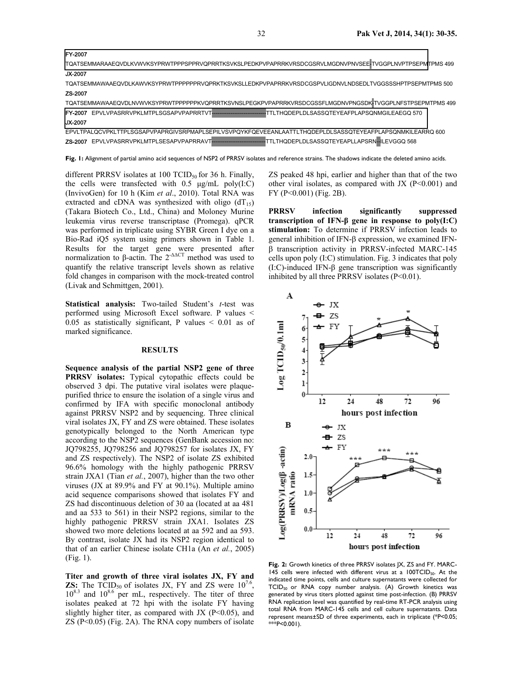| <b>FY-2007</b>                                                                                                       |  |
|----------------------------------------------------------------------------------------------------------------------|--|
| TOATSEMMARAAEQVDLKVWVKSYPRWTPPPSPPRVQPRRTKSVKSLPEDKPVPAPRRKVRSDCGSRVLMGDNVPNVSEE#TVGGPLNVPTPSEPMTPMS 499             |  |
| <b>JX-2007</b>                                                                                                       |  |
| TQATSEMMAWAAEQVDLKAWVKSYPRWTPPPPPRVQPRKTKSVKSLLEDKPVPAPRRKVRSDCGSPVLIGDNVLNDSEDLTVGGSSSHPTPSEPMTPMS 500              |  |
| ZS-2007                                                                                                              |  |
| TQATSEMMAWAAEQVDLNVWVKSYPRWTPPPPPPKVQPRRTKSVNSLPEGKPVPAPRRKVRSDCGSSFLMGDNVPNGSDKITVGGPLNFSTPSEPMTPMS 499             |  |
| <b>IFY-2007</b> EPVLVPASRRVPKLMTPLSGSAPVPAPRRTVT-------------------------TTLTHQDEPLDLSASSQTEYEAFPLAPSQNMGILEAEGQ 570 |  |
| <b>JX-2007</b>                                                                                                       |  |
| EPVLTPALQCVPKLTTPLSGSAPVPAPRGIVSRPMAPLSEPILVSVPQYKFQEVEEANLAATTLTHQDEPLDLSASSQTEYEAFPLAPSQNMKILEARRQ 600             |  |
| ZS-2007 EPVLVPASRRVPKLMTPLSESAPVPAPRRAVT-----------------------------TTLTHQDEPLDLSASSQTEYEAPLLAPSRN--ILEVGGQ 568     |  |

Fig. 1: Alignment of partial amino acid sequences of NSP2 of PRRSV isolates and reference strains. The shadows indicate the deleted amino acids.

different PRRSV isolates at 100 TCID $_{50}$  for 36 h. Finally, the cells were transfected with  $0.5 \mu g/mL$  poly $(I:C)$ (InvivoGen) for 10 h (Kim *et al*., 2010). Total RNA was extracted and cDNA was synthesized with oligo  $dT_{15}$ ) (Takara Biotech Co., Ltd., China) and Moloney Murine leukemia virus reverse transcriptase (Promega). qPCR was performed in triplicate using SYBR Green I dye on a Bio-Rad iQ5 system using primers shown in Table 1. Results for the target gene were presented after normalization to β-actin. The  $2^{-\Delta\Delta CT}$  method was used to quantify the relative transcript levels shown as relative fold changes in comparison with the mock-treated control (Livak and Schmittgen, 2001).

**Statistical analysis:** Two-tailed Student's *t*-test was performed using Microsoft Excel software. P values < 0.05 as statistically significant, P values  $\leq$  0.01 as of marked significance.

#### **RESULTS**

**Sequence analysis of the partial NSP2 gene of three PRRSV isolates:** Typical cytopathic effects could be observed 3 dpi. The putative viral isolates were plaquepurified thrice to ensure the isolation of a single virus and confirmed by IFA with specific monoclonal antibody against PRRSV NSP2 and by sequencing. Three clinical viral isolates JX, FY and ZS were obtained. These isolates genotypically belonged to the North American type according to the NSP2 sequences (GenBank accession no: JQ798255, JQ798256 and JQ798257 for isolates JX, FY and ZS respectively). The NSP2 of isolate ZS exhibited 96.6% homology with the highly pathogenic PRRSV strain JXA1 (Tian *et al.*, 2007), higher than the two other viruses (JX at 89.9% and FY at 90.1%). Multiple amino acid sequence comparisons showed that isolates FY and ZS had discontinuous deletion of 30 aa (located at aa 481 and aa 533 to 561) in their NSP2 regions, similar to the highly pathogenic PRRSV strain JXA1. Isolates ZS showed two more deletions located at aa 592 and aa 593. By contrast, isolate JX had its NSP2 region identical to that of an earlier Chinese isolate CH1a (An *et al.*, 2005) (Fig. 1).

**Titer and growth of three viral isolates JX, FY and ZS:** The TCID<sub>50</sub> of isolates JX, FY and ZS were  $10^{7.6}$ ,  $10^{8.3}$  and  $10^{8.6}$  per mL, respectively. The titer of three isolates peaked at 72 hpi with the isolate FY having slightly higher titer, as compared with JX ( $P<0.05$ ), and ZS (P<0.05) (Fig. 2A). The RNA copy numbers of isolate

ZS peaked 48 hpi, earlier and higher than that of the two other viral isolates, as compared with JX  $(P<0.001)$  and FY (P<0.001) (Fig. 2B).

**PRRSV infection significantly suppressed transcription of IFN-β gene in response to poly(I:C) stimulation:** To determine if PRRSV infection leads to general inhibition of IFN-β expression, we examined IFNβ transcription activity in PRRSV-infected MARC-145 cells upon poly (I:C) stimulation. Fig. 3 indicates that poly (I:C)-induced IFN-β gene transcription was significantly inhibited by all three PRRSV isolates  $(P<0.01)$ .



**Fig. 2:** Growth kinetics of three PRRSV isolates JX, ZS and FY. MARC-145 cells were infected with different virus at a  $100TCD_{50}$ . At the indicated time points, cells and culture supernatants were collected for TCID<sub>50</sub> or RNA copy number analysis. (A) Growth kinetics was generated by virus titers plotted against time post-infection. (B) PRRSV RNA replication level was quantified by real-time RT-PCR analysis using total RNA from MARC-145 cells and cell culture supernatants. Data represent means±SD of three experiments, each in triplicate (\*P<0.05;  $**$ P<0.001).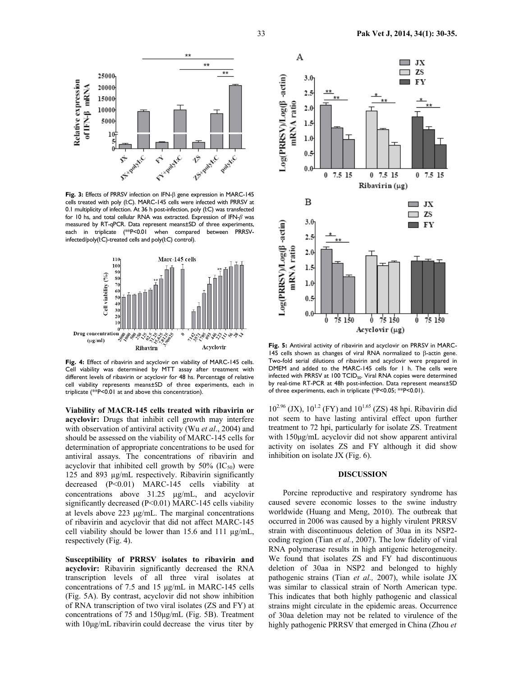

**Fig. 3:** Effects of PRRSV infection on IFN-β gene expression in MARC-145 cells treated with poly (I:C). MARC-145 cells were infected with PRRSV at 0.1 multiplicity of infection. At 36 h post-infection, poly (I:C) was transfected for 10 hs, and total cellular RNA was extracted. Expression of IFN-*β* was measured by RT-qPCR. Data represent means±SD of three experiments, each in triplicate (\*\*P<0.01 when compared between PRRSVinfected/poly(I:C)-treated cells and poly(I:C) control).



**Fig. 4:** Effect of ribavirin and acyclovir on viability of MARC-145 cells. Cell viability was determined by MTT assay after treatment with different levels of ribavirin or acyclovir for 48 hs. Percentage of relative cell viability represents means±SD of three experiments, each in triplicate (\*\*P<0.01 at and above this concentration).

**Viability of MACR-145 cells treated with ribavirin or acyclovir:** Drugs that inhibit cell growth may interfere with observation of antiviral activity (Wu *et al*., 2004) and should be assessed on the viability of MARC-145 cells for determination of appropriate concentrations to be used for antiviral assays. The concentrations of ribavirin and acyclovir that inhibited cell growth by  $50\%$  (IC<sub>50</sub>) were 125 and 893 µg/mL respectively. Ribavirin significantly decreased (P<0.01) MARC-145 cells viability at concentrations above 31.25 µg/mL, and acyclovir significantly decreased (P<0.01) MARC-145 cells viability at levels above 223 µg/mL. The marginal concentrations of ribavirin and acyclovir that did not affect MARC-145 cell viability should be lower than 15.6 and 111 µg/mL, respectively (Fig. 4).

**Susceptibility of PRRSV isolates to ribavirin and acyclovir:** Ribavirin significantly decreased the RNA transcription levels of all three viral isolates at concentrations of 7.5 and 15 µg/mL in MARC-145 cells (Fig. 5A). By contrast, acyclovir did not show inhibition of RNA transcription of two viral isolates (ZS and FY) at concentrations of 75 and 150µg/mL (Fig. 5B). Treatment with 10µg/mL ribavirin could decrease the virus titer by



**Fig. 5:** Antiviral activity of ribavirin and acyclovir on PRRSV in MARC-145 cells shown as changes of viral RNA normalized to β-actin gene. Two-fold serial dilutions of ribavirin and acyclovir were prepared in DMEM and added to the MARC-145 cells for 1 h. The cells were infected with PRRSV at 100 TCID<sub>50</sub>. Viral RNA copies were determined by real-time RT-PCR at 48h post-infection. Data represent means±SD of three experiments, each in triplicate (\*P<0.05; \*\*P<0.01).

 $10^{2.96}$  (JX),  $10^{1.2}$  (FY) and  $10^{1.65}$  (ZS) 48 hpi. Ribavirin did not seem to have lasting antiviral effect upon further treatment to 72 hpi, particularly for isolate ZS. Treatment with 150µg/mL acyclovir did not show apparent antiviral activity on isolates ZS and FY although it did show inhibition on isolate JX (Fig. 6).

## **DISCUSSION**

Porcine reproductive and respiratory syndrome has caused severe economic losses to the swine industry worldwide (Huang and Meng, 2010). The outbreak that occurred in 2006 was caused by a highly virulent PRRSV strain with discontinuous deletion of 30aa in its NSP2 coding region (Tian *et al.*, 2007). The low fidelity of viral RNA polymerase results in high antigenic heterogeneity. We found that isolates ZS and FY had discontinuous deletion of 30aa in NSP2 and belonged to highly pathogenic strains (Tian *et al.,* 2007), while isolate JX was similar to classical strain of North American type. This indicates that both highly pathogenic and classical strains might circulate in the epidemic areas. Occurrence of 30aa deletion may not be related to virulence of the highly pathogenic PRRSV that emerged in China (Zhou *et*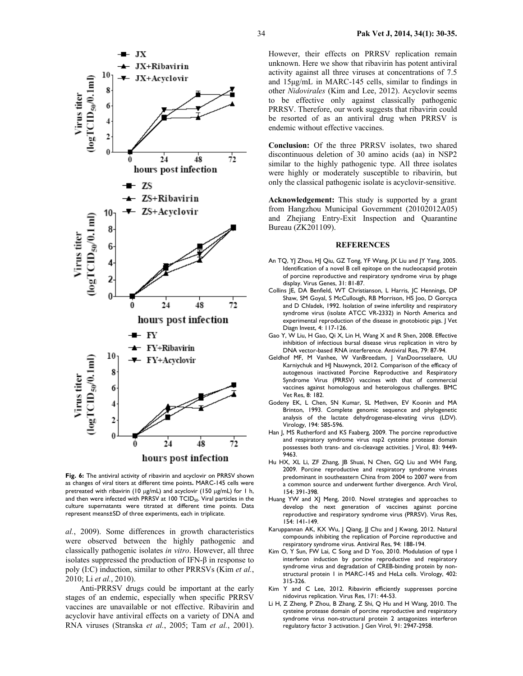

**Fig. 6:** The antiviral activity of ribavirin and acyclovir on PRRSV shown as changes of viral titers at different time points**.** MARC-145 cells were pretreated with ribavirin (10 µg/mL) and acyclovir (150 µg/mL) for 1 h, and then were infected with PRRSV at 100  $\text{TCID}_{50}$ . Viral particles in the culture supernatants were titrated at different time points. Data represent means±SD of three experiments, each in triplicate.

*al.*, 2009). Some differences in growth characteristics were observed between the highly pathogenic and classically pathogenic isolates *in vitro*. However, all three isolates suppressed the production of IFN-β in response to poly (I:C) induction, similar to other PRRSVs (Kim *et al.*, 2010; Li *et al.*, 2010).

Anti-PRRSV drugs could be important at the early stages of an endemic, especially when specific PRRSV vaccines are unavailable or not effective. Ribavirin and acyclovir have antiviral effects on a variety of DNA and RNA viruses (Stranska *et al.*, 2005; Tam *et al.*, 2001).

However, their effects on PRRSV replication remain unknown. Here we show that ribavirin has potent antiviral activity against all three viruses at concentrations of 7.5 and 15µg/mL in MARC-145 cells, similar to findings in other *Nidovirales* (Kim and Lee, 2012). Acyclovir seems to be effective only against classically pathogenic PRRSV. Therefore, our work suggests that ribavirin could be resorted of as an antiviral drug when PRRSV is endemic without effective vaccines.

**Conclusion:** Of the three PRRSV isolates, two shared discontinuous deletion of 30 amino acids (aa) in NSP2 similar to the highly pathogenic type. All three isolates were highly or moderately susceptible to ribavirin, but only the classical pathogenic isolate is acyclovir-sensitive.

**Acknowledgement:** This study is supported by a grant from Hangzhou Municipal Government (20102012A05) and Zhejiang Entry-Exit Inspection and Quarantine Bureau (ZK201109).

#### **REFERENCES**

- An TQ, YJ Zhou, HJ Qiu, GZ Tong, YF Wang, JX Liu and JY Yang, 2005. Identification of a novel B cell epitope on the nucleocapsid protein of porcine reproductive and respiratory syndrome virus by phage display. Virus Genes, 31: 81-87.
- Collins JE, DA Benfield, WT Christianson, L Harris, JC Hennings, DP Shaw, SM Goyal, S McCullough, RB Morrison, HS Joo, D Gorcyca and D Chladek, 1992. Isolation of swine infertility and respiratory syndrome virus (isolate ATCC VR-2332) in North America and experimental reproduction of the disease in gnotobiotic pigs. | Vet Diagn Invest, 4: 117-126.
- Gao Y, W Liu, H Gao, Qi X, Lin H, Wang X and R Shen, 2008. Effective inhibition of infectious bursal disease virus replication in vitro by DNA vector-based RNA interference. Antiviral Res, 79: 87-94.
- Geldhof MF, M Vanhee, W VanBreedam, J VanDoorsselaere, UU Karniychuk and HJ Nauwynck, 2012. Comparison of the efficacy of autogenous inactivated Porcine Reproductive and Respiratory Syndrome Virus (PRRSV) vaccines with that of commercial vaccines against homologous and heterologous challenges. BMC Vet Res, 8: 182.
- Godeny EK, L Chen, SN Kumar, SL Methven, EV Koonin and MA Brinton, 1993. Complete genomic sequence and phylogenetic analysis of the lactate dehydrogenase-elevating virus (LDV). Virology, 194: 585-596.
- Han J, MS Rutherford and KS Faaberg, 2009. The porcine reproductive and respiratory syndrome virus nsp2 cysteine protease domain possesses both trans- and cis-cleavage activities. J Virol, 83: 9449- 9463.
- Hu HX, XL Li, ZF Zhang, JB Shuai, N Chen, GQ Liu and WH Fang, 2009. Porcine reproductive and respiratory syndrome viruses predominant in southeastern China from 2004 to 2007 were from a common source and underwent further divergence. Arch Virol, 154: 391-398.
- Huang YW and XJ Meng, 2010. Novel strategies and approaches to develop the next generation of vaccines against porcine reproductive and respiratory syndrome virus (PRRSV). Virus Res, 154: 141-149.
- Karuppannan AK, KX Wu, J Qiang, JJ Chu and J Kwang, 2012. Natural compounds inhibiting the replication of Porcine reproductive and respiratory syndrome virus. Antiviral Res, 94: 188-194.
- Kim O, Y Sun, FW Lai, C Song and D Yoo, 2010. Modulation of type I interferon induction by porcine reproductive and respiratory syndrome virus and degradation of CREB-binding protein by nonstructural protein 1 in MARC-145 and HeLa cells. Virology, 402: 315-326.
- Kim Y and C Lee, 2012. Ribavirin efficiently suppresses porcine nidovirus replication. Virus Res, 171: 44-53.
- Li H, Z Zheng, P Zhou, B Zhang, Z Shi, Q Hu and H Wang, 2010. The cysteine protease domain of porcine reproductive and respiratory syndrome virus non-structural protein 2 antagonizes interferon regulatory factor 3 activation. J Gen Virol, 91: 2947-2958.